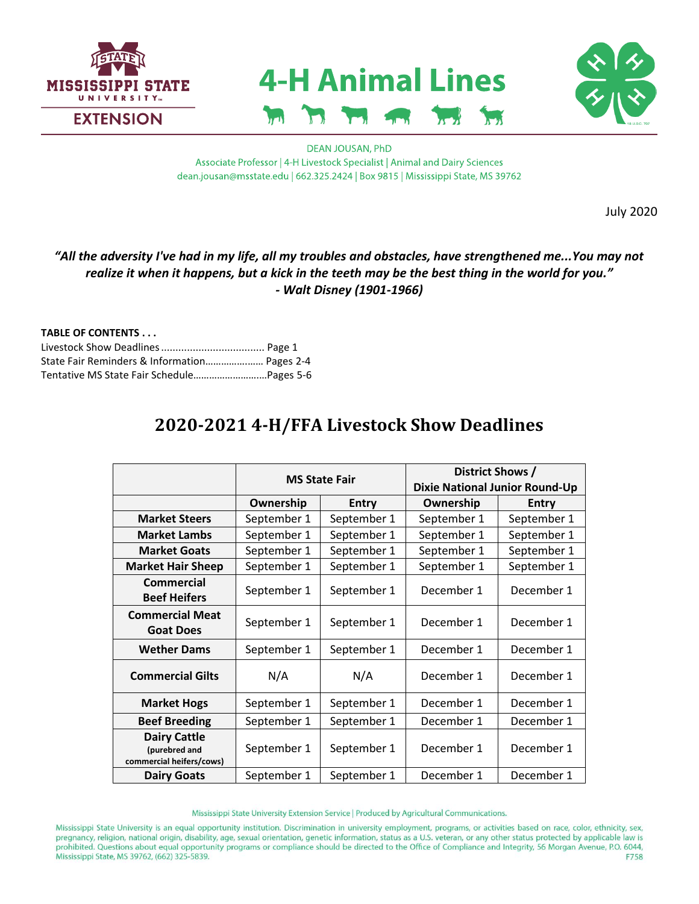





### **DEAN JOUSAN, PhD** Associate Professor | 4-H Livestock Specialist | Animal and Dairy Sciences dean.jousan@msstate.edu | 662.325.2424 | Box 9815 | Mississippi State, MS 39762

July 2020

# *"All the adversity I've had in my life, all my troubles and obstacles, have strengthened me...You may not realize it when it happens, but a kick in the teeth may be the best thing in the world for you." - Walt Disney (1901-1966)*

# **TABLE OF CONTENTS . . .**

| State Fair Reminders & Information Pages 2-4 |  |
|----------------------------------------------|--|
| Tentative MS State Fair Schedule Pages 5-6   |  |

# **2020-2021 4-H/FFA Livestock Show Deadlines**

|                                                                  | <b>MS State Fair</b> |             | District Shows /<br>Dixie National Junior Round-Up |              |
|------------------------------------------------------------------|----------------------|-------------|----------------------------------------------------|--------------|
|                                                                  | Ownership            | Entry       | Ownership                                          | <b>Entry</b> |
| <b>Market Steers</b>                                             | September 1          | September 1 | September 1                                        | September 1  |
| <b>Market Lambs</b>                                              | September 1          | September 1 | September 1                                        | September 1  |
| <b>Market Goats</b>                                              | September 1          | September 1 | September 1                                        | September 1  |
| <b>Market Hair Sheep</b>                                         | September 1          | September 1 | September 1                                        | September 1  |
| Commercial<br><b>Beef Heifers</b>                                | September 1          | September 1 | December 1                                         | December 1   |
| <b>Commercial Meat</b><br><b>Goat Does</b>                       | September 1          | September 1 | December 1                                         | December 1   |
| <b>Wether Dams</b>                                               | September 1          | September 1 | December 1                                         | December 1   |
| <b>Commercial Gilts</b>                                          | N/A                  | N/A         | December 1                                         | December 1   |
| <b>Market Hogs</b>                                               | September 1          | September 1 | December 1                                         | December 1   |
| <b>Beef Breeding</b>                                             | September 1          | September 1 | December 1                                         | December 1   |
| <b>Dairy Cattle</b><br>(purebred and<br>commercial heifers/cows) | September 1          | September 1 | December 1                                         | December 1   |
| <b>Dairy Goats</b>                                               | September 1          | September 1 | December 1                                         | December 1   |

Mississippi State University Extension Service | Produced by Agricultural Communications.

Mississippi State University is an equal opportunity institution. Discrimination in university employment, programs, or activities based on race, color, ethnicity, sex, pregnancy, religion, national origin, disability, age, sexual orientation, genetic information, status as a U.S. veteran, or any other status protected by applicable law is prohibited. Questions about equal opportunity programs or compliance should be directed to the Office of Compliance and Integrity, 56 Morgan Avenue, P.O. 6044, Mississippi State, MS 39762, (662) 325-5839. F758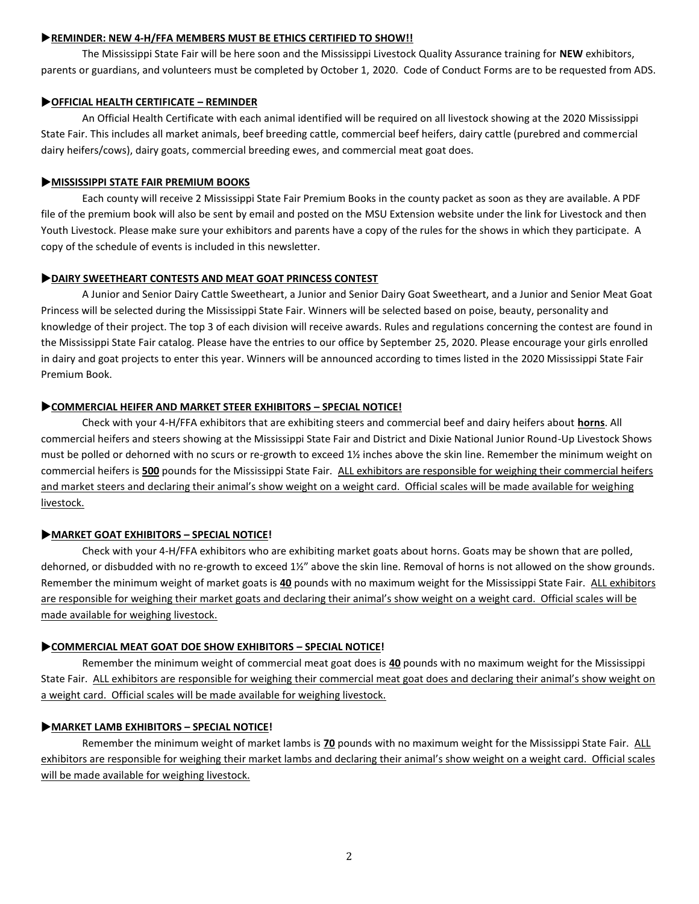#### **REMINDER: NEW 4-H/FFA MEMBERS MUST BE ETHICS CERTIFIED TO SHOW!!**

The Mississippi State Fair will be here soon and the Mississippi Livestock Quality Assurance training for **NEW** exhibitors, parents or guardians, and volunteers must be completed by October 1, 2020. Code of Conduct Forms are to be requested from ADS.

### **OFFICIAL HEALTH CERTIFICATE – REMINDER**

An Official Health Certificate with each animal identified will be required on all livestock showing at the 2020 Mississippi State Fair. This includes all market animals, beef breeding cattle, commercial beef heifers, dairy cattle (purebred and commercial dairy heifers/cows), dairy goats, commercial breeding ewes, and commercial meat goat does.

#### **MISSISSIPPI STATE FAIR PREMIUM BOOKS**

Each county will receive 2 Mississippi State Fair Premium Books in the county packet as soon as they are available. A PDF file of the premium book will also be sent by email and posted on the MSU Extension website under the link for Livestock and then Youth Livestock. Please make sure your exhibitors and parents have a copy of the rules for the shows in which they participate. A copy of the schedule of events is included in this newsletter.

### **DAIRY SWEETHEART CONTESTS AND MEAT GOAT PRINCESS CONTEST**

A Junior and Senior Dairy Cattle Sweetheart, a Junior and Senior Dairy Goat Sweetheart, and a Junior and Senior Meat Goat Princess will be selected during the Mississippi State Fair. Winners will be selected based on poise, beauty, personality and knowledge of their project. The top 3 of each division will receive awards. Rules and regulations concerning the contest are found in the Mississippi State Fair catalog. Please have the entries to our office by September 25, 2020. Please encourage your girls enrolled in dairy and goat projects to enter this year. Winners will be announced according to times listed in the 2020 Mississippi State Fair Premium Book.

### **COMMERCIAL HEIFER AND MARKET STEER EXHIBITORS – SPECIAL NOTICE!**

Check with your 4-H/FFA exhibitors that are exhibiting steers and commercial beef and dairy heifers about **horns**. All commercial heifers and steers showing at the Mississippi State Fair and District and Dixie National Junior Round-Up Livestock Shows must be polled or dehorned with no scurs or re-growth to exceed 1½ inches above the skin line. Remember the minimum weight on commercial heifers is **500** pounds for the Mississippi State Fair. ALL exhibitors are responsible for weighing their commercial heifers and market steers and declaring their animal's show weight on a weight card. Official scales will be made available for weighing livestock.

### **MARKET GOAT EXHIBITORS – SPECIAL NOTICE!**

Check with your 4-H/FFA exhibitors who are exhibiting market goats about horns. Goats may be shown that are polled, dehorned, or disbudded with no re-growth to exceed 1½" above the skin line. Removal of horns is not allowed on the show grounds. Remember the minimum weight of market goats is **40** pounds with no maximum weight for the Mississippi State Fair. ALL exhibitors are responsible for weighing their market goats and declaring their animal's show weight on a weight card. Official scales will be made available for weighing livestock.

### **COMMERCIAL MEAT GOAT DOE SHOW EXHIBITORS – SPECIAL NOTICE!**

Remember the minimum weight of commercial meat goat does is **40** pounds with no maximum weight for the Mississippi State Fair. ALL exhibitors are responsible for weighing their commercial meat goat does and declaring their animal's show weight on a weight card. Official scales will be made available for weighing livestock.

### **MARKET LAMB EXHIBITORS – SPECIAL NOTICE!**

Remember the minimum weight of market lambs is **70** pounds with no maximum weight for the Mississippi State Fair. ALL exhibitors are responsible for weighing their market lambs and declaring their animal's show weight on a weight card. Official scales will be made available for weighing livestock.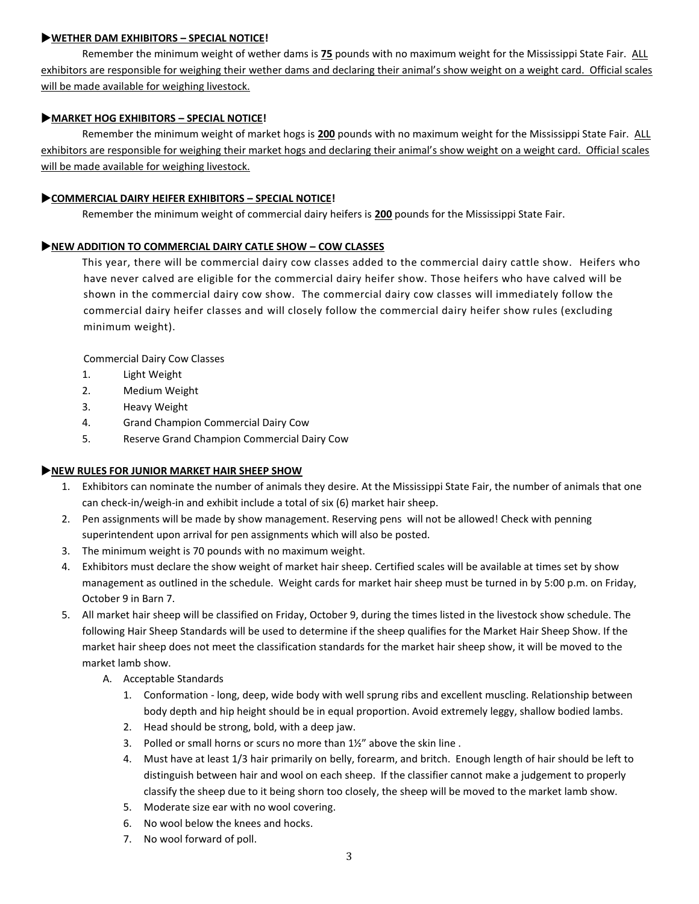# **WETHER DAM EXHIBITORS – SPECIAL NOTICE!**

Remember the minimum weight of wether dams is **75** pounds with no maximum weight for the Mississippi State Fair. ALL exhibitors are responsible for weighing their wether dams and declaring their animal's show weight on a weight card. Official scales will be made available for weighing livestock.

# **MARKET HOG EXHIBITORS – SPECIAL NOTICE!**

Remember the minimum weight of market hogs is **200** pounds with no maximum weight for the Mississippi State Fair. ALL exhibitors are responsible for weighing their market hogs and declaring their animal's show weight on a weight card. Official scales will be made available for weighing livestock.

# **COMMERCIAL DAIRY HEIFER EXHIBITORS – SPECIAL NOTICE!**

Remember the minimum weight of commercial dairy heifers is **200** pounds for the Mississippi State Fair.

# **NEW ADDITION TO COMMERCIAL DAIRY CATLE SHOW – COW CLASSES**

This year, there will be commercial dairy cow classes added to the commercial dairy cattle show. Heifers who have never calved are eligible for the commercial dairy heifer show. Those heifers who have calved will be shown in the commercial dairy cow show. The commercial dairy cow classes will immediately follow the commercial dairy heifer classes and will closely follow the commercial dairy heifer show rules (excluding minimum weight).

Commercial Dairy Cow Classes

- 1. Light Weight
- 2. Medium Weight
- 3. Heavy Weight
- 4. Grand Champion Commercial Dairy Cow
- 5. Reserve Grand Champion Commercial Dairy Cow

### **NEW RULES FOR JUNIOR MARKET HAIR SHEEP SHOW**

- 1. Exhibitors can nominate the number of animals they desire. At the Mississippi State Fair, the number of animals that one can check-in/weigh-in and exhibit include a total of six (6) market hair sheep.
- 2. Pen assignments will be made by show management. Reserving pens will not be allowed! Check with penning superintendent upon arrival for pen assignments which will also be posted.
- 3. The minimum weight is 70 pounds with no maximum weight.
- 4. Exhibitors must declare the show weight of market hair sheep. Certified scales will be available at times set by show management as outlined in the schedule. Weight cards for market hair sheep must be turned in by 5:00 p.m. on Friday, October 9 in Barn 7.
- 5. All market hair sheep will be classified on Friday, October 9, during the times listed in the livestock show schedule. The following Hair Sheep Standards will be used to determine if the sheep qualifies for the Market Hair Sheep Show. If the market hair sheep does not meet the classification standards for the market hair sheep show, it will be moved to the market lamb show.
	- A. Acceptable Standards
		- 1. Conformation long, deep, wide body with well sprung ribs and excellent muscling. Relationship between body depth and hip height should be in equal proportion. Avoid extremely leggy, shallow bodied lambs.
		- 2. Head should be strong, bold, with a deep jaw.
		- 3. Polled or small horns or scurs no more than 1½" above the skin line .
		- 4. Must have at least 1/3 hair primarily on belly, forearm, and britch. Enough length of hair should be left to distinguish between hair and wool on each sheep. If the classifier cannot make a judgement to properly classify the sheep due to it being shorn too closely, the sheep will be moved to the market lamb show.
		- 5. Moderate size ear with no wool covering.
		- 6. No wool below the knees and hocks.
		- 7. No wool forward of poll.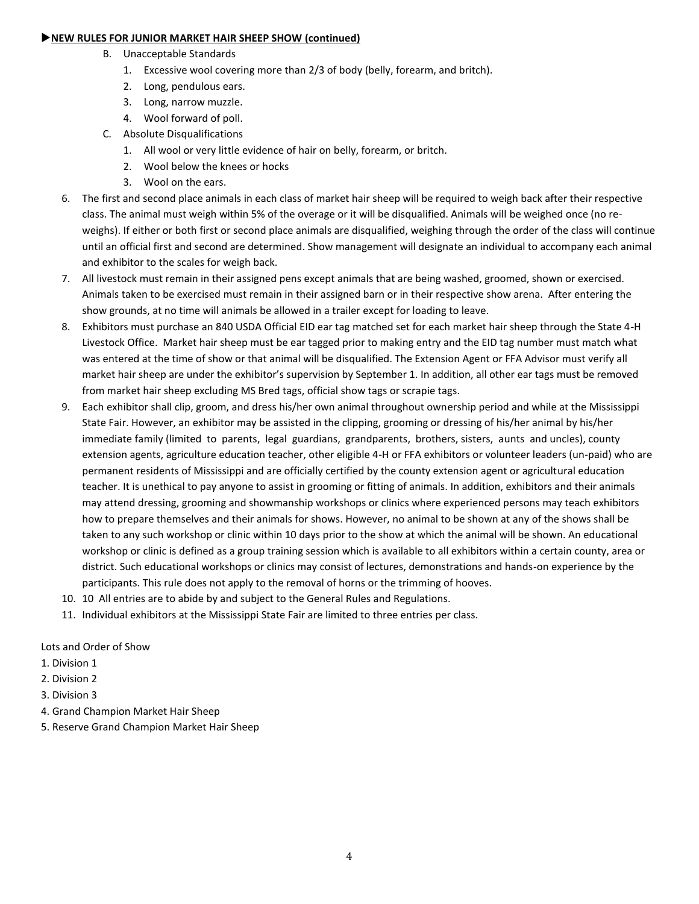#### **NEW RULES FOR JUNIOR MARKET HAIR SHEEP SHOW (continued)**

- B. Unacceptable Standards
	- 1. Excessive wool covering more than 2/3 of body (belly, forearm, and britch).
	- 2. Long, pendulous ears.
	- 3. Long, narrow muzzle.
	- 4. Wool forward of poll.
- C. Absolute Disqualifications
	- 1. All wool or very little evidence of hair on belly, forearm, or britch.
	- 2. Wool below the knees or hocks
	- 3. Wool on the ears.
- 6. The first and second place animals in each class of market hair sheep will be required to weigh back after their respective class. The animal must weigh within 5% of the overage or it will be disqualified. Animals will be weighed once (no reweighs). If either or both first or second place animals are disqualified, weighing through the order of the class will continue until an official first and second are determined. Show management will designate an individual to accompany each animal and exhibitor to the scales for weigh back.
- 7. All livestock must remain in their assigned pens except animals that are being washed, groomed, shown or exercised. Animals taken to be exercised must remain in their assigned barn or in their respective show arena. After entering the show grounds, at no time will animals be allowed in a trailer except for loading to leave.
- 8. Exhibitors must purchase an 840 USDA Official EID ear tag matched set for each market hair sheep through the State 4-H Livestock Office. Market hair sheep must be ear tagged prior to making entry and the EID tag number must match what was entered at the time of show or that animal will be disqualified. The Extension Agent or FFA Advisor must verify all market hair sheep are under the exhibitor's supervision by September 1. In addition, all other ear tags must be removed from market hair sheep excluding MS Bred tags, official show tags or scrapie tags.
- 9. Each exhibitor shall clip, groom, and dress his/her own animal throughout ownership period and while at the Mississippi State Fair. However, an exhibitor may be assisted in the clipping, grooming or dressing of his/her animal by his/her immediate family (limited to parents, legal guardians, grandparents, brothers, sisters, aunts and uncles), county extension agents, agriculture education teacher, other eligible 4-H or FFA exhibitors or volunteer leaders (un-paid) who are permanent residents of Mississippi and are officially certified by the county extension agent or agricultural education teacher. It is unethical to pay anyone to assist in grooming or fitting of animals. In addition, exhibitors and their animals may attend dressing, grooming and showmanship workshops or clinics where experienced persons may teach exhibitors how to prepare themselves and their animals for shows. However, no animal to be shown at any of the shows shall be taken to any such workshop or clinic within 10 days prior to the show at which the animal will be shown. An educational workshop or clinic is defined as a group training session which is available to all exhibitors within a certain county, area or district. Such educational workshops or clinics may consist of lectures, demonstrations and hands-on experience by the participants. This rule does not apply to the removal of horns or the trimming of hooves.
- 10. 10 All entries are to abide by and subject to the General Rules and Regulations.
- 11. Individual exhibitors at the Mississippi State Fair are limited to three entries per class.

Lots and Order of Show

- 1. Division 1
- 2. Division 2
- 3. Division 3
- 4. Grand Champion Market Hair Sheep
- 5. Reserve Grand Champion Market Hair Sheep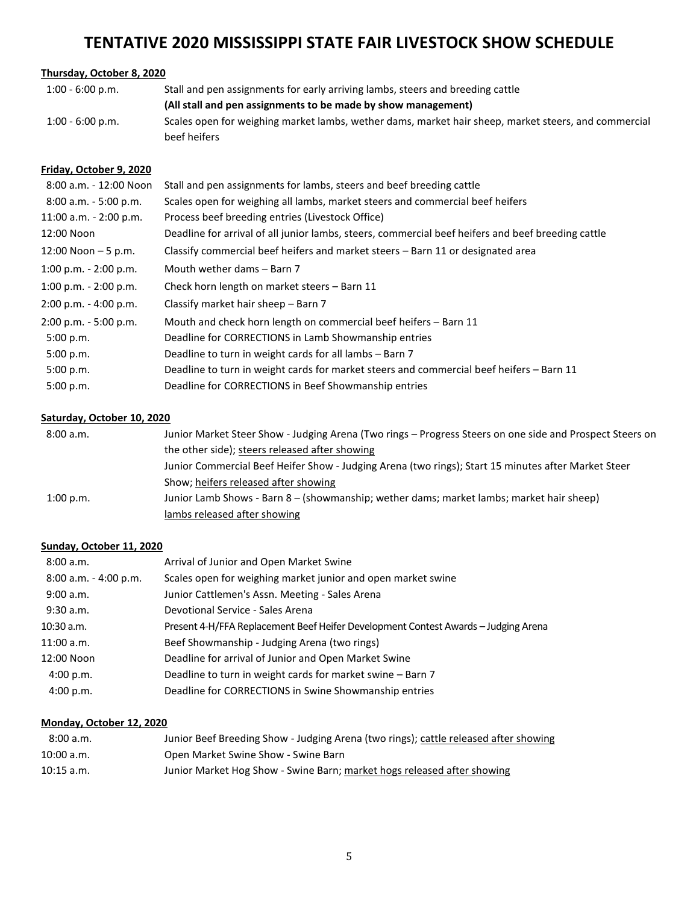# **TENTATIVE 2020 MISSISSIPPI STATE FAIR LIVESTOCK SHOW SCHEDULE**

# **Thursday, October 8, 2020**

| $1:00 - 6:00 p.m.$ | Stall and pen assignments for early arriving lambs, steers and breeding cattle                       |
|--------------------|------------------------------------------------------------------------------------------------------|
|                    | (All stall and pen assignments to be made by show management)                                        |
| $1:00 - 6:00$ p.m. | Scales open for weighing market lambs, wether dams, market hair sheep, market steers, and commercial |
|                    | beef heifers                                                                                         |

# **Friday, October 9, 2020**

| 8:00 a.m. - 12:00 Noon   | Stall and pen assignments for lambs, steers and beef breeding cattle                               |
|--------------------------|----------------------------------------------------------------------------------------------------|
| $8:00$ a.m. $-5:00$ p.m. | Scales open for weighing all lambs, market steers and commercial beef heifers                      |
| 11:00 a.m. - 2:00 p.m.   | Process beef breeding entries (Livestock Office)                                                   |
| 12:00 Noon               | Deadline for arrival of all junior lambs, steers, commercial beef heifers and beef breeding cattle |
| 12:00 Noon $-5$ p.m.     | Classify commercial beef heifers and market steers – Barn 11 or designated area                    |
| 1:00 p.m. $- 2:00$ p.m.  | Mouth wether dams - Barn 7                                                                         |
| 1:00 p.m. $- 2:00$ p.m.  | Check horn length on market steers - Barn 11                                                       |
| $2:00$ p.m. - 4:00 p.m.  | Classify market hair sheep - Barn 7                                                                |
| $2:00$ p.m. - 5:00 p.m.  | Mouth and check horn length on commercial beef heifers - Barn 11                                   |
| 5:00 p.m.                | Deadline for CORRECTIONS in Lamb Showmanship entries                                               |
| 5:00 p.m.                | Deadline to turn in weight cards for all lambs - Barn 7                                            |
| 5:00 p.m.                | Deadline to turn in weight cards for market steers and commercial beef heifers – Barn 11           |
| 5:00 p.m.                | Deadline for CORRECTIONS in Beef Showmanship entries                                               |

#### **Saturday, October 10, 2020**

| 8:00a.m.  | Junior Market Steer Show - Judging Arena (Two rings - Progress Steers on one side and Prospect Steers on |
|-----------|----------------------------------------------------------------------------------------------------------|
|           | the other side); steers released after showing                                                           |
|           | Junior Commercial Beef Heifer Show - Judging Arena (two rings); Start 15 minutes after Market Steer      |
|           | Show; heifers released after showing                                                                     |
| 1:00 p.m. | Junior Lamb Shows - Barn 8 – (showmanship; wether dams; market lambs; market hair sheep)                 |
|           | lambs released after showing                                                                             |

# **Sunday, October 11, 2020**

| 8:00 a.m.             | Arrival of Junior and Open Market Swine                                            |
|-----------------------|------------------------------------------------------------------------------------|
| 8:00 a.m. - 4:00 p.m. | Scales open for weighing market junior and open market swine                       |
| 9:00 a.m.             | Junior Cattlemen's Assn. Meeting - Sales Arena                                     |
| 9:30 a.m.             | Devotional Service - Sales Arena                                                   |
| $10:30$ a.m.          | Present 4-H/FFA Replacement Beef Heifer Development Contest Awards - Judging Arena |
| $11:00$ a.m.          | Beef Showmanship - Judging Arena (two rings)                                       |
| 12:00 Noon            | Deadline for arrival of Junior and Open Market Swine                               |
| 4:00 p.m.             | Deadline to turn in weight cards for market swine – Barn 7                         |
| 4:00 p.m.             | Deadline for CORRECTIONS in Swine Showmanship entries                              |

# **Monday, October 12, 2020**

| 8:00a.m.     | Junior Beef Breeding Show - Judging Arena (two rings); cattle released after showing |
|--------------|--------------------------------------------------------------------------------------|
| 10:00 a.m.   | Open Market Swine Show - Swine Barn                                                  |
| $10:15$ a.m. | Junior Market Hog Show - Swine Barn; market hogs released after showing              |